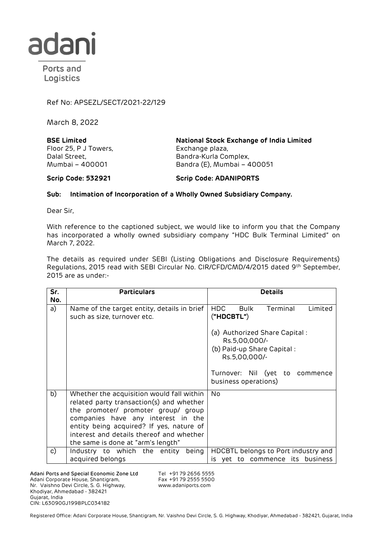

Ports and Logistics

Ref No: APSEZL/SECT/2021-22/129

March 8, 2022

**BSE Limited** Floor 25, P J Towers, Dalal Street, Mumbai – 400001

**National Stock Exchange of India Limited** Exchange plaza, Bandra-Kurla Complex, Bandra (E), Mumbai – 400051

**Scrip Code: 532921 Scrip Code: ADANIPORTS**

## **Sub: Intimation of Incorporation of a Wholly Owned Subsidiary Company.**

Dear Sir,

With reference to the captioned subject, we would like to inform you that the Company has incorporated a wholly owned subsidiary company "HDC Bulk Terminal Limited" on March 7, 2022.

The details as required under SEBI (Listing Obligations and Disclosure Requirements) Regulations, 2015 read with SEBI Circular No. CIR/CFD/CMD/4/2015 dated 9th September, 2015 are as under:-

| Sr.<br>No. | <b>Particulars</b>                                                                                                                                                                                                                                                                               | <b>Details</b>                                                                                                                                          |
|------------|--------------------------------------------------------------------------------------------------------------------------------------------------------------------------------------------------------------------------------------------------------------------------------------------------|---------------------------------------------------------------------------------------------------------------------------------------------------------|
| a)         | Name of the target entity, details in brief<br>such as size, turnover etc.                                                                                                                                                                                                                       | HDC.<br>Bulk<br>Terminal<br>Limited<br>("HDCBTL")                                                                                                       |
|            |                                                                                                                                                                                                                                                                                                  | (a) Authorized Share Capital:<br>Rs.5,00,000/-<br>(b) Paid-up Share Capital:<br>Rs.5,00,000/-<br>Turnover: Nil (yet to commence<br>business operations) |
| b)         | Whether the acquisition would fall within<br>related party transaction(s) and whether<br>the promoter/ promoter group/ group<br>companies have any interest in the<br>entity being acquired? If yes, nature of<br>interest and details thereof and whether<br>the same is done at "arm's length" | No.                                                                                                                                                     |
| c)         | Industry to which the entity<br>being<br>acquired belongs                                                                                                                                                                                                                                        | HDCBTL belongs to Port industry and<br>to commence its business<br>is yet                                                                               |

Adani Ports and Special Economic Zone Ltd Adani Corporate House, Shantigram, Nr. Vaishno Devi Circle, S. G. Highway, Khodiyar, Ahmedabad - 382421 Gujarat, India CIN: L63090GJ1998PLC034182

Tel +91 79 2656 5555 Fax +91 79 2555 5500 www.adaniports.com